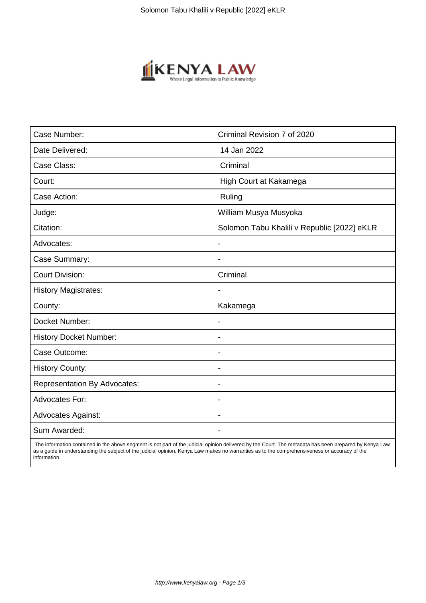

| Case Number:                        | Criminal Revision 7 of 2020                 |
|-------------------------------------|---------------------------------------------|
| Date Delivered:                     | 14 Jan 2022                                 |
| Case Class:                         | Criminal                                    |
| Court:                              | High Court at Kakamega                      |
| Case Action:                        | Ruling                                      |
| Judge:                              | William Musya Musyoka                       |
| Citation:                           | Solomon Tabu Khalili v Republic [2022] eKLR |
| Advocates:                          | $\blacksquare$                              |
| Case Summary:                       | $\blacksquare$                              |
| <b>Court Division:</b>              | Criminal                                    |
| <b>History Magistrates:</b>         |                                             |
| County:                             | Kakamega                                    |
| Docket Number:                      | $\blacksquare$                              |
| <b>History Docket Number:</b>       | $\overline{\phantom{0}}$                    |
| Case Outcome:                       | $\blacksquare$                              |
| <b>History County:</b>              | $\blacksquare$                              |
| <b>Representation By Advocates:</b> | $\overline{\phantom{a}}$                    |
| <b>Advocates For:</b>               | $\overline{\phantom{a}}$                    |
| <b>Advocates Against:</b>           | $\overline{\phantom{0}}$                    |
| Sum Awarded:                        |                                             |

 The information contained in the above segment is not part of the judicial opinion delivered by the Court. The metadata has been prepared by Kenya Law as a guide in understanding the subject of the judicial opinion. Kenya Law makes no warranties as to the comprehensiveness or accuracy of the information.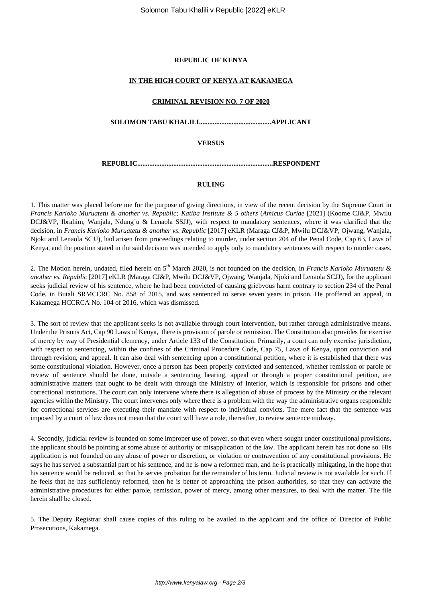# **REPUBLIC OF KENYA**

#### **IN THE HIGH COURT OF KENYA AT KAKAMEGA**

#### **CRIMINAL REVISION NO. 7 OF 2020**

**SOLOMON TABU KHALILI..........................................APPLICANT**

### **VERSUS**

**REPUBLIC...............................................................................RESPONDENT**

# **RULING**

1. This matter was placed before me for the purpose of giving directions, in view of the recent decision by the Supreme Court in *Francis Karioko Muruatetu & another vs. Republic; Katiba Institute & 5 others* (*Amicus Curiae* [2021] (Koome CJ&P, Mwilu DCJ&VP, Ibrahim, Wanjala, Ndung'u & Lenaola SSJJ), with respect to mandatory sentences, where it was clarified that the decision, in *Francis Karioko Muruatetu & another vs. Republic* [2017] eKLR (Maraga CJ&P, Mwilu DCJ&VP, Ojwang, Wanjala, Njoki and Lenaola SCJJ), had arisen from proceedings relating to murder, under section 204 of the Penal Code, Cap 63, Laws of Kenya, and the position stated in the said decision was intended to apply only to mandatory sentences with respect to murder cases.

2. The Motion herein, undated, filed herein on 5th March 2020, is not founded on the decision, in *Francis Karioko Muruatetu & another vs. Republic* [2017] eKLR (Maraga CJ&P, Mwilu DCJ&VP, Ojwang, Wanjala, Njoki and Lenaola SCJJ), for the applicant seeks judicial review of his sentence, where he had been convicted of causing griebvous harm contrary to section 234 of the Penal Code, in Butali SRMCCRC No. 858 of 2015, and was sentenced to serve seven years in prison. He proffered an appeal, in Kakamega HCCRCA No. 104 of 2016, which was dismissed.

3. The sort of review that the applicant seeks is not available through court intervention, but rather through administrative means. Under the Prisons Act, Cap 90 Laws of Kenya, there is provision of parole or remission. The Constitution also provides for exercise of mercy by way of Presidential clemency, under Article 133 of the Constitution. Primarily, a court can only exercise jurisdiction, with respect to sentencing, within the confines of the Criminal Procedure Code, Cap 75, Laws of Kenya, upon conviction and through revision, and appeal. It can also deal with sentencing upon a constitutional petition, where it is established that there was some constitutional violation. However, once a person has been properly convicted and sentenced, whether remission or parole or review of sentence should be done, outside a sentencing hearing, appeal or through a proper constitutional petition, are administrative matters that ought to be dealt with through the Ministry of Interior, which is responsible for prisons and other correctional institutions. The court can only intervene where there is allegation of abuse of process by the Ministry or the relevant agencies within the Ministry. The court intervenes only where there is a problem with the way the administrative organs responsible for correctional services are executing their mandate with respect to individual convicts. The mere fact that the sentence was imposed by a court of law does not mean that the court will have a role, thereafter, to review sentence midway.

4. Secondly, judicial review is founded on some improper use of power, so that even where sought under constitutional provisions, the applicant should be pointing at some abuse of authority or misapplication of the law. The applicant herein has not done so. His application is not founded on any abuse of power or discretion, or violation or contravention of any constitutional provisions. He says he has served a substantial part of his sentence, and he is now a reformed man, and he is practically mitigating, in the hope that his sentence would be reduced, so that he serves probation for the remainder of his term. Judicial review is not available for such. If he feels that he has sufficiently reformed, then he is better of approaching the prison authorities, so that they can activate the administrative procedures for either parole, remission, power of mercy, among other measures, to deal with the matter. The file herein shall be closed.

5. The Deputy Registrar shall cause copies of this ruling to be availed to the applicant and the office of Director of Public Prosecutions, Kakamega.